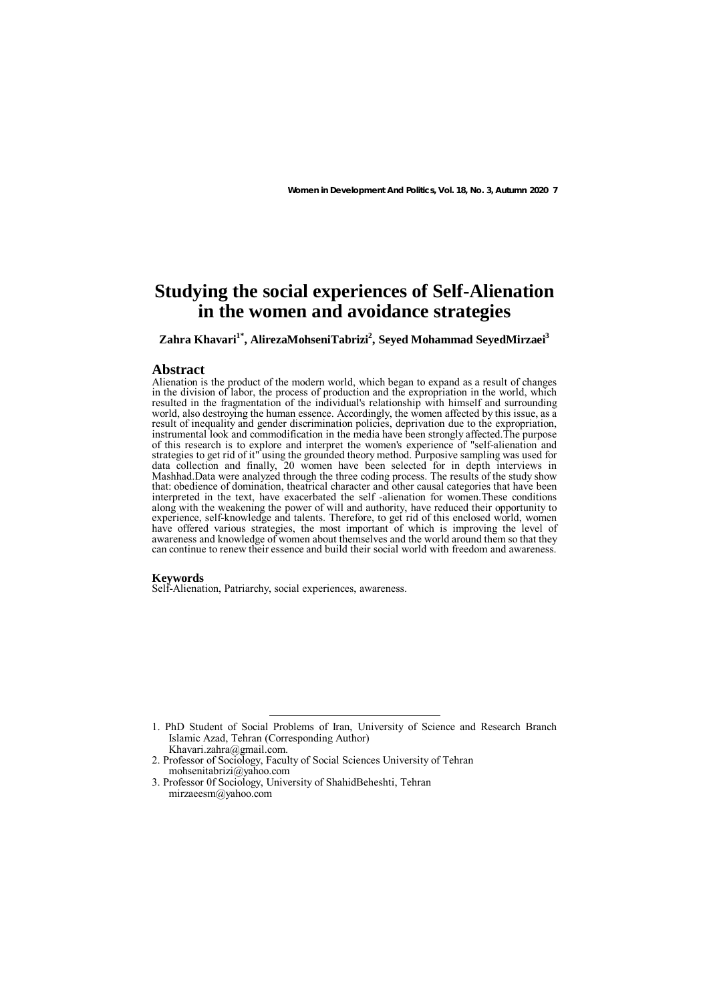# **Studying the social experiences of Self-Alienation in the women and avoidance strategies**

Zahra Khavari<sup>1\*</sup>, AlirezaMohseniTabrizi<sup>2</sup>, Seyed Mohammad SeyedMirzaei<sup>3</sup>

### **Abstract**

Alienation is the product of the modern world, which began to expand as a result of changes in the division of labor, the process of production and the expropriation in the world, which resulted in the fragmentation of the individual's relationship with himself and surrounding world, also destroying the human essence. Accordingly, the women affected by this issue, as a result of inequality and gender discrimination policies, deprivation due to the expropriation, instrumental look and commodification in the media have been strongly affected. The purpose of this research is to explore and interpret the women's experience of "self-alienation and strategies to get rid of it" using the grounded theory method. Purposive sampling was used for data collection and finally, 20 women have been selected for in depth interviews in Mashhad.Data were analyzed through the three coding process. The results of the study show that: obedience of domination, theatrical character and other causal categories that have been interpreted in the text, have exacerbated the self -alienation for women.These conditions along with the weakening the power of will and authority, have reduced their opportunity to experience, self-knowledge and talents. Therefore, to get rid of this enclosed world, women have offered various strategies, the most important of which is improving the level of awareness and knowledge of women about themselves and the world around them so that they can continue to renew their essence and build their social world with freedom and awareness.

### **Keywords**

Self-Alienation, Patriarchy, social experiences, awareness.

- 2. Professor of Sociology, Faculty of Social Sciences University of Tehran mohsenitabrizi@yahoo.com
- 3. Professor 0f Sociology, University of ShahidBeheshti, Tehran mirzaeesm@yahoo.com

 <sup>1.</sup> PhD Student of Social Problems of Iran, University of Science and Research Branch Islamic Azad, Tehran (Corresponding Author)

Khavari.zahra@gmail.com.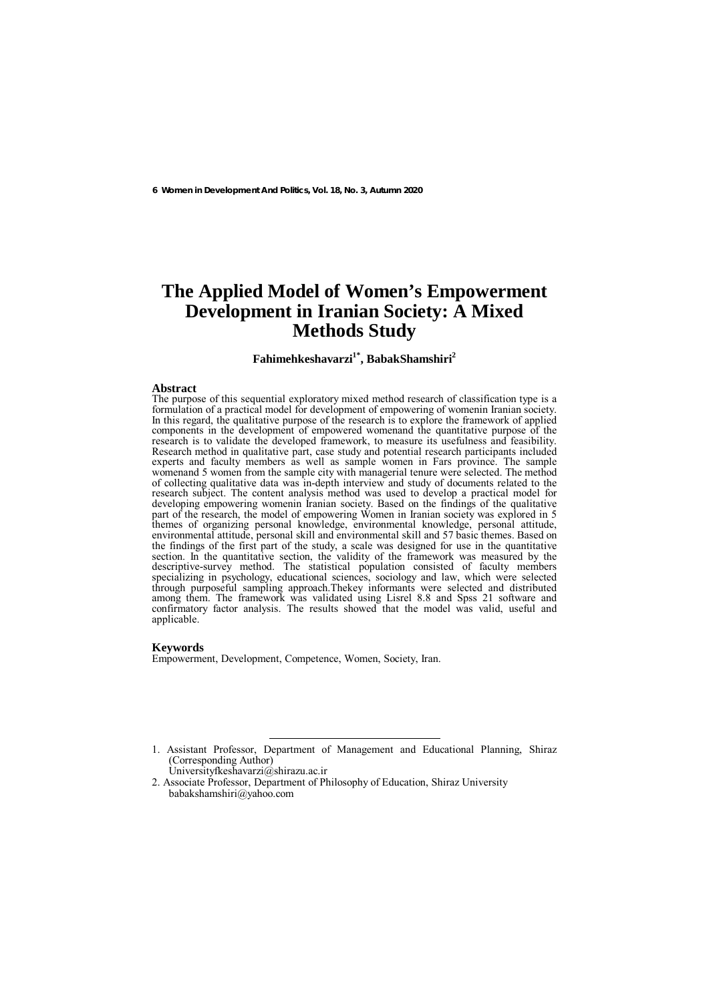# **The Applied Model of Women's Empowerment Development in Iranian Society: A Mixed Methods Study**

# **Fahimehkeshavarzi1\*, BabakShamshiri2**

## **Abstract**

The purpose of this sequential exploratory mixed method research of classification type is a formulation of a practical model for development of empowering of womenin Iranian society. In this regard, the qualitative purpose of the research is to explore the framework of applied components in the development of empowered womenand the quantitative purpose of the research is to validate the developed framework, to measure its usefulness and feasibility. Research method in qualitative part, case study and potential research participants included experts and faculty members as well as sample women in Fars province. The sample womenand 5 women from the sample city with managerial tenure were selected. The method of collecting qualitative data was in-depth interview and study of documents related to the research subject. The content analysis method was used to develop a practical model for developing empowering womenin Iranian society. Based on the findings of the qualitative part of the research, the model of empowering Women in Iranian society was explored in 5 themes of organizing personal knowledge, environmental knowledge, personal attitude, environmental attitude, personal skill and environmental skill and 57 basic themes. Based on the findings of the first part of the study, a scale was designed for use in the quantitative section. In the quantitative section, the validity of the framework was measured by the descriptive-survey method. The statistical population consisted of faculty members specializing in psychology, educational sciences, sociology and law, which were selected through purposeful sampling approach.Thekey informants were selected and distributed among them. The framework was validated using Lisrel 8.8 and Spss 21 software and confirmatory factor analysis. The results showed that the model was valid, useful and applicable.

### **Keywords**

Empowerment, Development, Competence, Women, Society, Iran.

 <sup>1.</sup> Assistant Professor, Department of Management and Educational Planning, Shiraz (Corresponding Author) Universityfkeshavarzi@shirazu.ac.ir

<sup>2.</sup> Associate Professor, Department of Philosophy of Education, Shiraz University babakshamshiri@yahoo.com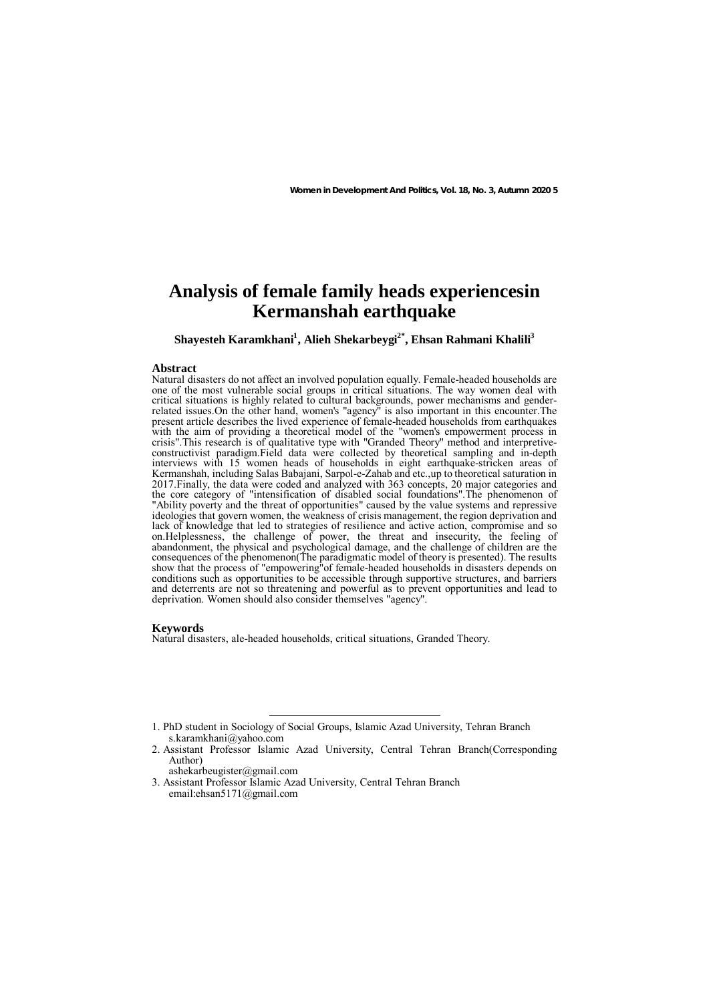# **Analysis of female family heads experiencesin Kermanshah earthquake**

# $\boldsymbol{\mathrm{Sh}}$ ayesteh Karamkhani<sup>1</sup>, Alieh Shekarbeygi $^{2^*},$  Ehsan Rahmani Khalili $^3$

#### **Abstract**

Natural disasters do not affect an involved population equally. Female-headed households are one of the most vulnerable social groups in critical situations. The way women deal with critical situations is highly related to cultural backgrounds, power mechanisms and genderrelated issues.On the other hand, women's "agency" is also important in this encounter.The present article describes the lived experience of female-headed households from earthquakes with the aim of providing a theoretical model of the "women's empowerment process in crisis".This research is of qualitative type with "Granded Theory" method and interpretiveconstructivist paradigm.Field data were collected by theoretical sampling and in-depth interviews with 15 women heads of households in eight earthquake-stricken areas of Kermanshah, including Salas Babajani, Sarpol-e-Zahab and etc.,up to theoretical saturation in 2017.Finally, the data were coded and analyzed with 363 concepts, 20 major categories and the core category of "intensification of disabled social foundations".The phenomenon of "Ability poverty and the threat of opportunities" caused by the value systems and repressive ideologies that govern women, the weakness of crisis management, the region deprivation and lack of knowledge that led to strategies of resilience and active action, compromise and so on.Helplessness, the challenge of power, the threat and insecurity, the feeling of abandonment, the physical and psychological damage, and the challenge of children are the consequences of the phenomenon(The paradigmatic model of theory is presented). The results show that the process of "empowering"of female-headed households in disasters depends on conditions such as opportunities to be accessible through supportive structures, and barriers and deterrents are not so threatening and powerful as to prevent opportunities and lead to deprivation. Women should also consider themselves "agency".

#### **Keywords**

Natural disasters, ale-headed households, critical situations, Granded Theory.

ashekarbeugister@gmail.com

 <sup>1.</sup> PhD student in Sociology of Social Groups, Islamic Azad University, Tehran Branch s.karamkhani@yahoo.com

<sup>2.</sup> Assistant Professor Islamic Azad University, Central Tehran Branch(Corresponding Author)

<sup>3.</sup> Assistant Professor Islamic Azad University, Central Tehran Branch email:ehsan5171@gmail.com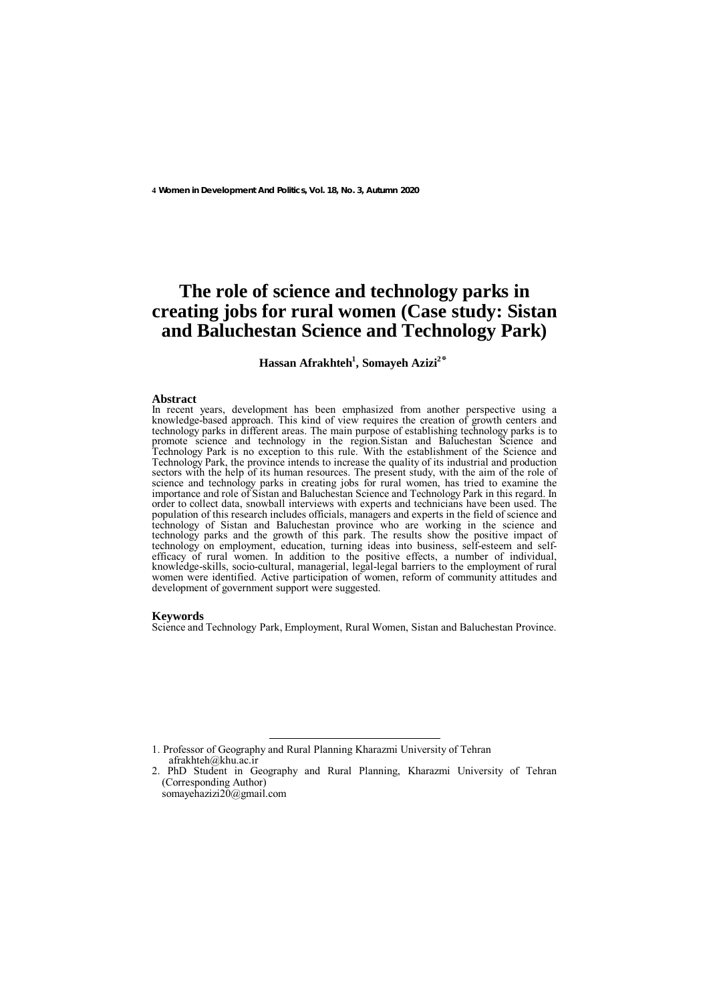# **The role of science and technology parks in creating jobs for rural women (Case study: Sistan and Baluchestan Science and Technology Park)**

**Hassan Afrakhteh1 , Somayeh Azizi2\***

#### **Abstract**

In recent years, development has been emphasized from another perspective using a knowledge-based approach. This kind of view requires the creation of growth centers and technology parks in different areas. The main purpose of establishing technology parks is to promote science and technology in the region.Sistan and Baluchestan Science and Technology Park is no exception to this rule. With the establishment of the Science and Technology Park, the province intends to increase the quality of its industrial and production sectors with the help of its human resources. The present study, with the aim of the role of science and technology parks in creating jobs for rural women, has tried to examine the importance and role of Sistan and Baluchestan Science and Technology Park in this regard. In order to collect data, snowball interviews with experts and technicians have been used. The population of this research includes officials, managers and experts in the field of science and technology of Sistan and Baluchestan province who are working in the science and technology parks and the growth of this park. The results show the positive impact of technology on employment, education, turning ideas into business, self-esteem and selfefficacy of rural women. In addition to the positive effects, a number of individual, knowledge-skills, socio-cultural, managerial, legal-legal barriers to the employment of rural women were identified. Active participation of women, reform of community attitudes and development of government support were suggested.

#### **Keywords**

Science and Technology Park, Employment, Rural Women, Sistan and Baluchestan Province.

 <sup>1.</sup> Professor of Geography and Rural Planning Kharazmi University of Tehran afrakhteh@khu.ac.ir

<sup>2.</sup> PhD Student in Geography and Rural Planning, Kharazmi University of Tehran (Corresponding Author) somayehazizi20@gmail.com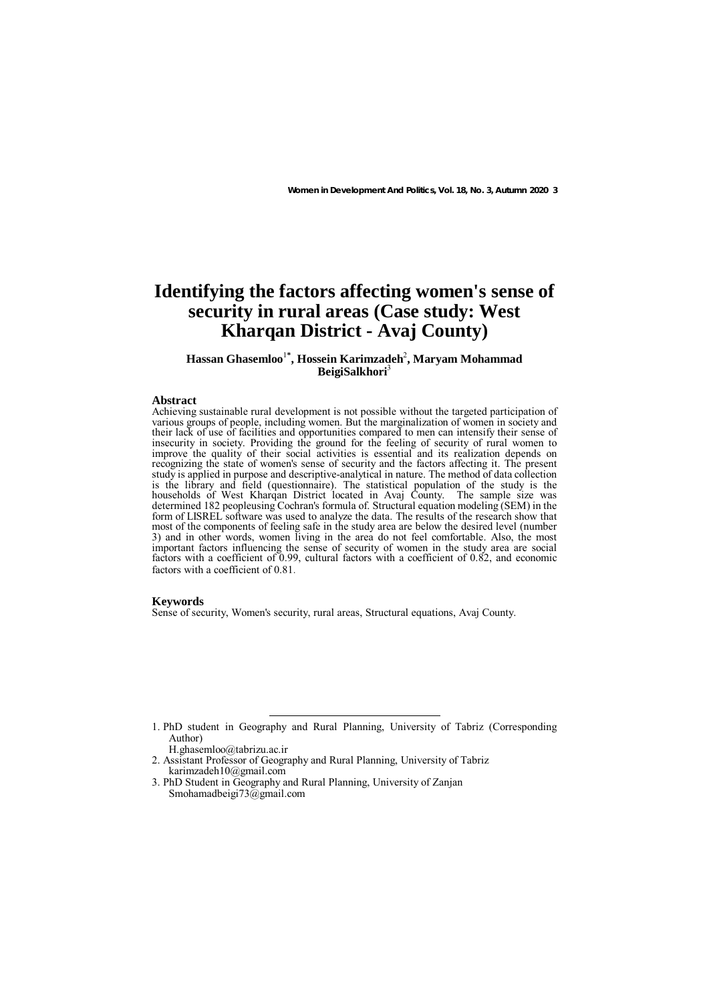# **Identifying the factors affecting women's sense of security in rural areas (Case study: West Kharqan District - Avaj County)**

## Hassan Ghasemloo<sup>1\*</sup>, Hossein Karimzadeh<sup>2</sup>, Maryam Mohammad **BeigiSalkhori**<sup>3</sup>

### **Abstract**

Achieving sustainable rural development is not possible without the targeted participation of various groups of people, including women. But the marginalization of women in society and their lack of use of facilities and opportunities compared to men can intensify their sense of insecurity in society. Providing the ground for the feeling of security of rural women to improve the quality of their social activities is essential and its realization depends on recognizing the state of women's sense of security and the factors affecting it. The present study is applied in purpose and descriptive-analytical in nature. The method of data collection is the library and field (questionnaire). The statistical population of the study is the households of West Kharqan District located in Avaj County. The sample size was determined 182 peopleusing Cochran's formula of. Structural equation modeling (SEM) in the form of LISREL software was used to analyze the data. The results of the research show that most of the components of feeling safe in the study area are below the desired level (number 3) and in other words, women living in the area do not feel comfortable. Also, the most important factors influencing the sense of security of women in the study area are social factors with a coefficient of 0.99, cultural factors with a coefficient of 0.82, and economic factors with a coefficient of 0.81.

## **Keywords**

Sense of security, Women's security, rural areas, Structural equations, Avaj County.

- H.ghasemloo@tabrizu.ac.ir
- 2. Assistant Professor of Geography and Rural Planning, University of Tabriz karimzadeh10@gmail.com
- 3. PhD Student in Geography and Rural Planning, University of Zanjan Smohamadbeigi73@gmail.com

 <sup>1.</sup> PhD student in Geography and Rural Planning, University of Tabriz (Corresponding Author)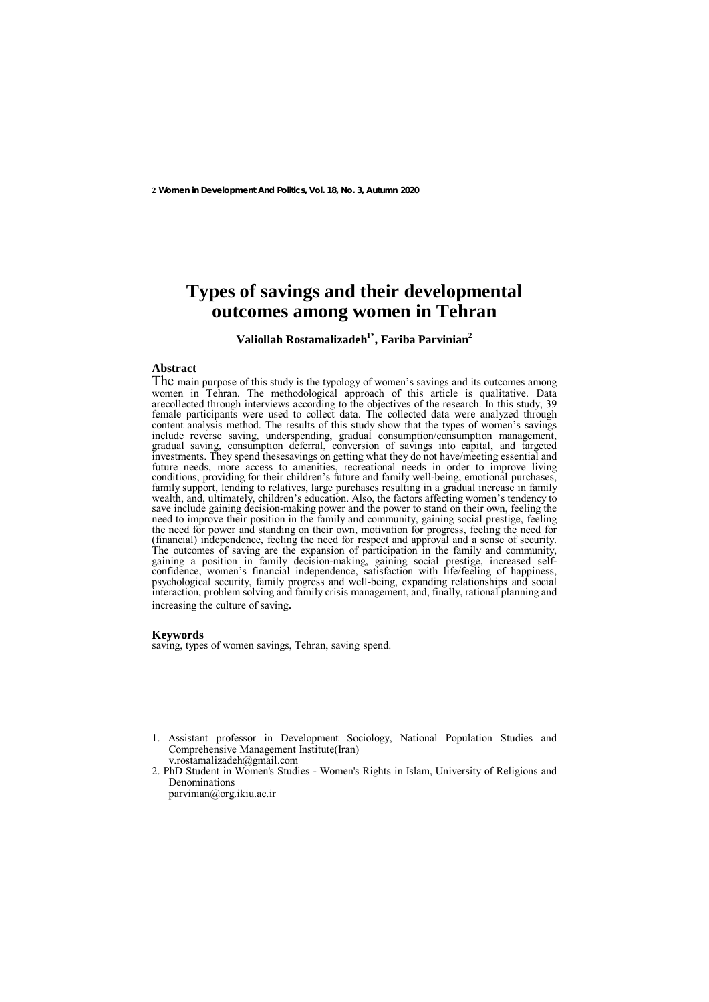**2 Women in Development And Politics, Vol. 18, No. 3, Autumn 2020**

# **Types of savings and their developmental outcomes among women in Tehran**

**Valiollah Rostamalizadeh1\*, Fariba Parvinian2** 

### **Abstract**

The main purpose of this study is the typology of women's savings and its outcomes among women in Tehran. The methodological approach of this article is qualitative. Data arecollected through interviews according to the objectives of the research. In this study, 39 female participants were used to collect data. The collected data were analyzed through content analysis method. The results of this study show that the types of women's savings include reverse saving, underspending, gradual consumption/consumption management, gradual saving, consumption deferral, conversion of savings into capital, and targeted investments. They spend thesesavings on getting what they do not have/meeting essential and future needs, more access to amenities, recreational needs in order to improve living conditions, providing for their children's future and family well-being, emotional purchases, family support, lending to relatives, large purchases resulting in a gradual increase in family wealth, and, ultimately, children's education. Also, the factors affecting women's tendency to save include gaining decision-making power and the power to stand on their own, feeling the need to improve their position in the family and community, gaining social prestige, feeling the need for power and standing on their own, motivation for progress, feeling the need for (financial) independence, feeling the need for respect and approval and a sense of security. The outcomes of saving are the expansion of participation in the family and community, gaining a position in family decision-making, gaining social prestige, increased selfconfidence, women's financial independence, satisfaction with life/feeling of happiness, psychological security, family progress and well-being, expanding relationships and social interaction, problem solving and family crisis management, and, finally, rational planning and increasing the culture of saving.

### **Keywords**

saving, types of women savings, Tehran, saving spend.

 <sup>1.</sup> Assistant professor in Development Sociology, National Population Studies and Comprehensive Management Institute(Iran) v.rostamalizadeh@gmail.com

<sup>2.</sup> PhD Student in Women's Studies - Women's Rights in Islam, University of Religions and Denominations parvinian@org.ikiu.ac.ir